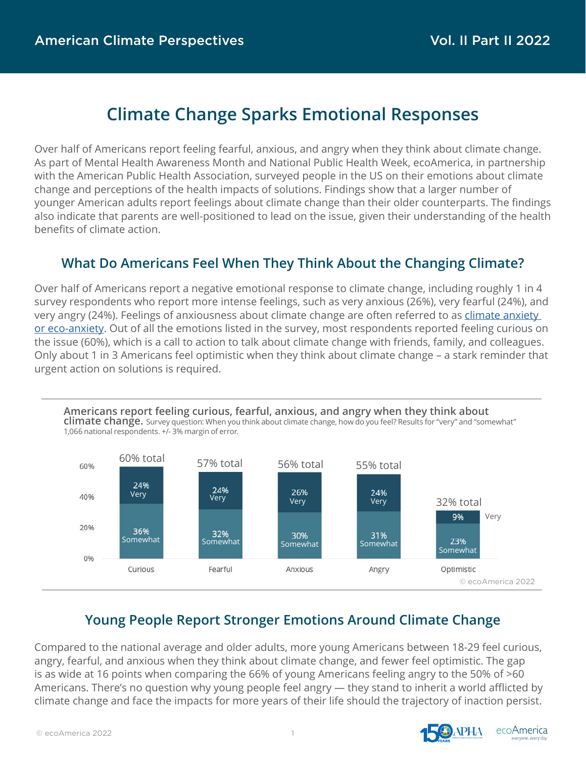# **Climate Change Sparks Emotional Responses**

Over half of Americans report feeling fearful, anxious, and angry when they think about climate change. As part of Mental Health Awareness Month and National Public Health Week, ecoAmerica, in partnership with the American Public Health Association, surveyed people in the US on their emotions about climate change and perceptions of the health impacts of solutions. Findings show that a larger number of younger American adults report feelings about climate change than their older counterparts. The findings also indicate that parents are well-positioned to lead on the issue, given their understanding of the health benefits of climate action.

### **What Do Americans Feel When They Think About the Changing Climate?**

Over half of Americans report a negative emotional response to climate change, including roughly 1 in 4 survey respondents who report more intense feelings, such as very anxious (26%), very fearful (24%), and very angry (24%). Feelings of anxiousness about climate change are often referred to as climate anxiety [or eco-anxiety.](https://ecoamerica.org/wp-content/uploads/2021/11/mental-health-climate-change-2021-ea-apa.pdf) Out of all the emotions listed in the survey, most respondents reported feeling curious on the issue (60%), which is a call to action to talk about climate change with friends, family, and colleagues. Only about 1 in 3 Americans feel optimistic when they think about climate change – a stark reminder that urgent action on solutions is required.



## **Young People Report Stronger Emotions Around Climate Change**

Compared to the national average and older adults, more young Americans between 18-29 feel curious, angry, fearful, and anxious when they think about climate change, and fewer feel optimistic. The gap is as wide at 16 points when comparing the 66% of young Americans feeling angry to the 50% of >60 Americans. There's no question why young people feel angry — they stand to inherit a world afflicted by climate change and face the impacts for more years of their life should the trajectory of inaction persist.



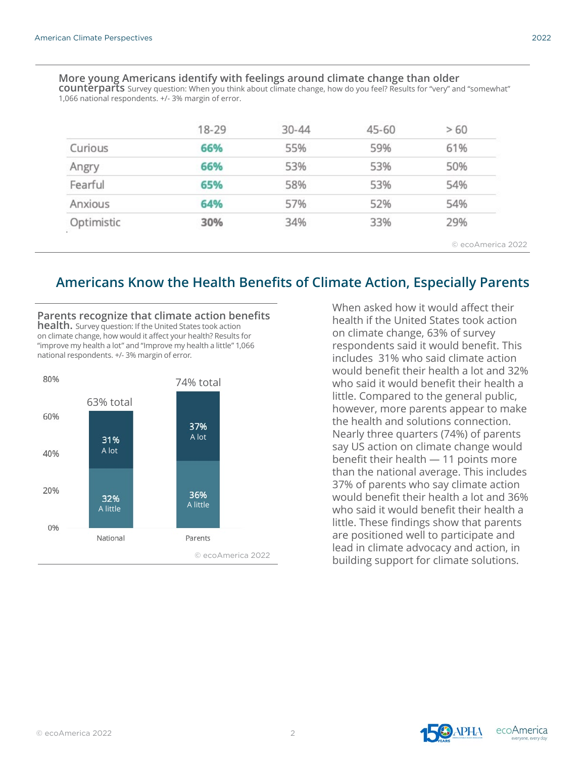### **More young Americans identify with feelings around climate change than older**

counterparts Survey question: When you think about climate change, how do you feel? Results for "very" and "somewhat" 1,066 national respondents. +/- 3% margin of error.

|            | 18-29 | $30 - 44$ | 45-60 | >60               |  |
|------------|-------|-----------|-------|-------------------|--|
| Curious    | 66%   | 55%       | 59%   | 61%               |  |
| Angry      | 66%   | 53%       | 53%   | 50%               |  |
| Fearful    | 65%   | 58%       | 53%   | 54%               |  |
| Anxious    | 64%   | 57%       | 52%   | 54%               |  |
| Optimistic | 30%   | 34%       | 33%   | 29%               |  |
|            |       |           |       | © ecoAmerica 2022 |  |

### **Americans Know the Health Benefits of Climate Action, Especially Parents**



When asked how it would affect their health if the United States took action on climate change, 63% of survey respondents said it would benefit. This includes 31% who said climate action would benefit their health a lot and 32% who said it would benefit their health a little. Compared to the general public, however, more parents appear to make the health and solutions connection. Nearly three quarters (74%) of parents say US action on climate change would benefit their health — 11 points more than the national average. This includes 37% of parents who say climate action would benefit their health a lot and 36% who said it would benefit their health a little. These findings show that parents are positioned well to participate and lead in climate advocacy and action, in building support for climate solutions.



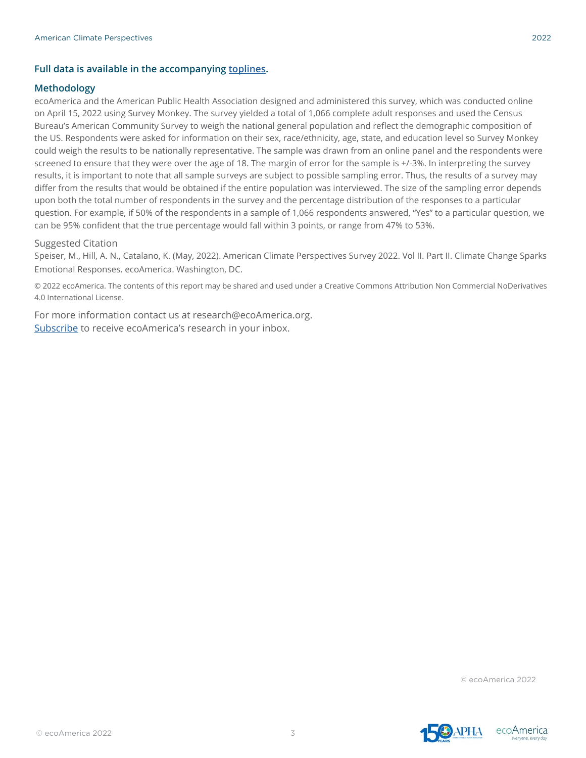### **Full data is available in the accompanying [toplines.](https://ecoamerica.org/wp-content/uploads/2022/05/acps-vol-ii-part-ii-toplines.pdf)**

#### **Methodology**

ecoAmerica and the American Public Health Association designed and administered this survey, which was conducted online on April 15, 2022 using Survey Monkey. The survey yielded a total of 1,066 complete adult responses and used the Census Bureau's American Community Survey to weigh the national general population and reflect the demographic composition of the US. Respondents were asked for information on their sex, race/ethnicity, age, state, and education level so Survey Monkey could weigh the results to be nationally representative. The sample was drawn from an online panel and the respondents were screened to ensure that they were over the age of 18. The margin of error for the sample is +/-3%. In interpreting the survey results, it is important to note that all sample surveys are subject to possible sampling error. Thus, the results of a survey may differ from the results that would be obtained if the entire population was interviewed. The size of the sampling error depends upon both the total number of respondents in the survey and the percentage distribution of the responses to a particular question. For example, if 50% of the respondents in a sample of 1,066 respondents answered, "Yes" to a particular question, we can be 95% confident that the true percentage would fall within 3 points, or range from 47% to 53%.

#### Suggested Citation

Speiser, M., Hill, A. N., Catalano, K. (May, 2022). American Climate Perspectives Survey 2022. Vol II. Part II. Climate Change Sparks Emotional Responses. ecoAmerica. Washington, DC.

© 2022 ecoAmerica. The contents of this report may be shared and used under a Creative Commons Attribution Non Commercial NoDerivatives 4.0 International License.

For more information contact us at research@ecoAmerica.org. [Subscribe](https://ecoamerica.org/communications/eupdate-archive/) to receive ecoAmerica's research in your inbox.

© ecoAmerica 2022